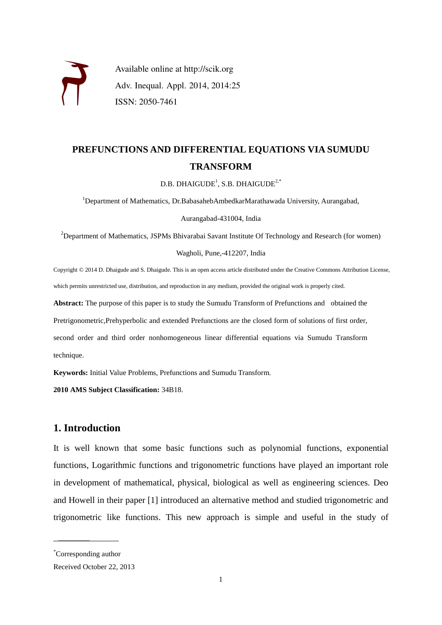

Available online at http://scik.org Adv. Inequal. Appl. 2014, 2014:25 ISSN: 2050-7461

# **PREFUNCTIONS AND DIFFERENTIAL EQUATIONS VIA SUMUDU TRANSFORM**

 $D.B.$   $DHAIGUDE<sup>1</sup>, S.B.$   $DHAIGUDE<sup>2,*</sup>$ 

<sup>1</sup>Department of Mathematics, Dr.BabasahebAmbedkarMarathawada University, Aurangabad,

Aurangabad-431004, India

 $2$ Department of Mathematics, JSPMs Bhivarabai Savant Institute Of Technology and Research (for women)

Wagholi, Pune,-412207, India

Copyright © 2014 D. Dhaigude and S. Dhaigude. This is an open access article distributed under the Creative Commons Attribution License, which permits unrestricted use, distribution, and reproduction in any medium, provided the original work is properly cited.

**Abstract:** The purpose of this paper is to study the Sumudu Transform of Prefunctions and obtained the

Pretrigonometric,Prehyperbolic and extended Prefunctions are the closed form of solutions of first order,

second order and third order nonhomogeneous linear differential equations via Sumudu Transform technique.

**Keywords:** Initial Value Problems, Prefunctions and Sumudu Transform.

**2010 AMS Subject Classification:** 34B18.

### **1. Introduction**

It is well known that some basic functions such as polynomial functions, exponential functions, Logarithmic functions and trigonometric functions have played an important role in development of mathematical, physical, biological as well as engineering sciences. Deo and Howell in their paper [1] introduced an alternative method and studied trigonometric and trigonometric like functions. This new approach is simple and useful in the study of

\* Corresponding author

 $\overline{\phantom{a}}$ 

Received October 22, 2013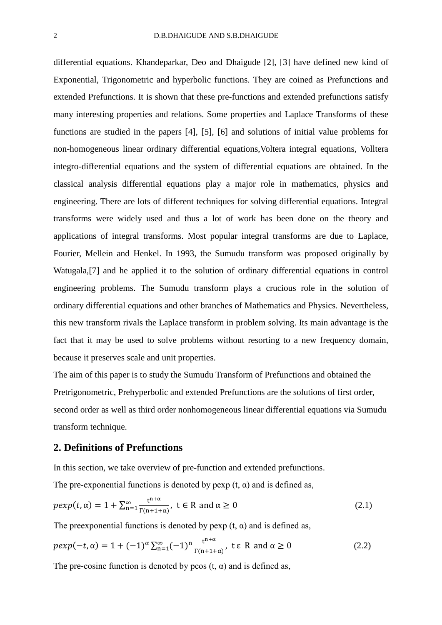differential equations. Khandeparkar, Deo and Dhaigude [2], [3] have defined new kind of Exponential, Trigonometric and hyperbolic functions. They are coined as Prefunctions and extended Prefunctions. It is shown that these pre-functions and extended prefunctions satisfy many interesting properties and relations. Some properties and Laplace Transforms of these functions are studied in the papers [4], [5], [6] and solutions of initial value problems for non-homogeneous linear ordinary differential equations,Voltera integral equations, Volltera integro-differential equations and the system of differential equations are obtained. In the classical analysis differential equations play a major role in mathematics, physics and engineering. There are lots of different techniques for solving differential equations. Integral transforms were widely used and thus a lot of work has been done on the theory and applications of integral transforms. Most popular integral transforms are due to Laplace, Fourier, Mellein and Henkel. In 1993, the Sumudu transform was proposed originally by Watugala,[7] and he applied it to the solution of ordinary differential equations in control engineering problems. The Sumudu transform plays a crucious role in the solution of ordinary differential equations and other branches of Mathematics and Physics. Nevertheless, this new transform rivals the Laplace transform in problem solving. Its main advantage is the fact that it may be used to solve problems without resorting to a new frequency domain, because it preserves scale and unit properties.

The aim of this paper is to study the Sumudu Transform of Prefunctions and obtained the Pretrigonometric, Prehyperbolic and extended Prefunctions are the solutions of first order, second order as well as third order nonhomogeneous linear differential equations via Sumudu transform technique.

### **2. Definitions of Prefunctions**

In this section, we take overview of pre-function and extended prefunctions.

The pre-exponential functions is denoted by pexp  $(t, \alpha)$  and is defined as,

$$
p \exp(t, \alpha) = 1 + \sum_{n=1}^{\infty} \frac{t^{n+\alpha}}{\Gamma(n+1+\alpha)}, \ t \in \mathbb{R} \text{ and } \alpha \ge 0
$$
 (2.1)

The preexponential functions is denoted by pexp  $(t, \alpha)$  and is defined as,

$$
p \exp(-t, \alpha) = 1 + (-1)^{\alpha} \sum_{n=1}^{\infty} (-1)^n \frac{t^{n+\alpha}}{\Gamma(n+1+\alpha)}, \quad t \in \mathbb{R} \text{ and } \alpha \ge 0
$$
 (2.2)

The pre-cosine function is denoted by pcos  $(t, \alpha)$  and is defined as,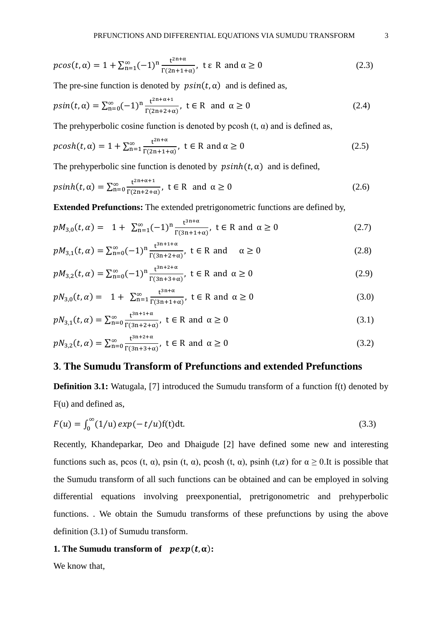$$
p\cos(t,\alpha) = 1 + \sum_{n=1}^{\infty} (-1)^n \frac{t^{2n+\alpha}}{\Gamma(2n+1+\alpha)}, \quad t \in \mathbb{R} \text{ and } \alpha \ge 0
$$
 (2.3)

The pre-sine function is denoted by  $\psi$  psin(t,  $\alpha$ ) and is defined as,

$$
psin(t, \alpha) = \sum_{n=0}^{\infty} (-1)^n \frac{t^{2n+\alpha+1}}{\Gamma(2n+2+\alpha)}, \ t \in \mathbb{R} \text{ and } \alpha \ge 0
$$
 (2.4)

The prehyperbolic cosine function is denoted by pcosh  $(t, \alpha)$  and is defined as,

$$
pcosh(t,\alpha) = 1 + \sum_{n=1}^{\infty} \frac{t^{2n+\alpha}}{\Gamma(2n+1+\alpha)}, \ t \in \mathbb{R} \text{ and } \alpha \ge 0
$$
 (2.5)

The prehyperbolic sine function is denoted by  $p\sinh(t, \alpha)$  and is defined,

$$
p\sinh(t,\alpha) = \sum_{n=0}^{\infty} \frac{t^{2n+\alpha+1}}{\Gamma(2n+2+\alpha)}, \ t \in \mathbb{R} \text{ and } \alpha \ge 0
$$
 (2.6)

**Extended Prefunctions:** The extended pretrigonometric functions are defined by,

$$
pM_{3,0}(t,\alpha) = 1 + \sum_{n=1}^{\infty} (-1)^n \frac{t^{3n+\alpha}}{\Gamma(3n+1+\alpha)}, \ t \in \mathbb{R} \text{ and } \alpha \ge 0
$$
 (2.7)

$$
pM_{3,1}(t,\alpha) = \sum_{n=0}^{\infty} (-1)^n \frac{t^{3n+1+\alpha}}{\Gamma(3n+2+\alpha)}, \ t \in \mathbb{R} \text{ and } \alpha \ge 0
$$
 (2.8)

$$
pM_{3,2}(t,\alpha) = \sum_{n=0}^{\infty} (-1)^n \frac{t^{3n+2+\alpha}}{\Gamma(3n+3+\alpha)}, \ t \in \mathbb{R} \text{ and } \alpha \ge 0
$$
 (2.9)

$$
pN_{3,0}(t,\alpha) = 1 + \sum_{n=1}^{\infty} \frac{t^{3n+\alpha}}{\Gamma(3n+1+\alpha)}, \ t \in \mathbb{R} \text{ and } \alpha \ge 0
$$
 (3.0)

$$
pN_{3,1}(t,\alpha) = \sum_{n=0}^{\infty} \frac{t^{3n+1+\alpha}}{\Gamma(3n+2+\alpha)}, \ t \in \mathbb{R} \text{ and } \alpha \ge 0
$$
 (3.1)

$$
pN_{3,2}(t,\alpha) = \sum_{n=0}^{\infty} \frac{t^{3n+2+\alpha}}{\Gamma(3n+3+\alpha)}, \ t \in \mathbb{R} \text{ and } \alpha \ge 0
$$
 (3.2)

## **3**. **The Sumudu Transform of Prefunctions and extended Prefunctions**

**Definition 3.1:** Watugala, [7] introduced the Sumudu transform of a function  $f(t)$  denoted by F(u) and defined as,

$$
F(u) = \int_0^\infty (1/u) \exp(-t/u) f(t) dt.
$$
\n(3.3)

Recently, Khandeparkar, Deo and Dhaigude [2] have defined some new and interesting functions such as, pcos (t,  $\alpha$ ), psin (t,  $\alpha$ ), pcosh (t,  $\alpha$ ), psinh (t, $\alpha$ ) for  $\alpha \ge 0$ . It is possible that the Sumudu transform of all such functions can be obtained and can be employed in solving differential equations involving preexponential, pretrigonometric and prehyperbolic functions. . We obtain the Sumudu transforms of these prefunctions by using the above definition (3.1) of Sumudu transform.

#### **1. The Sumudu transform of**  $p exp(t, \alpha)$ :

We know that,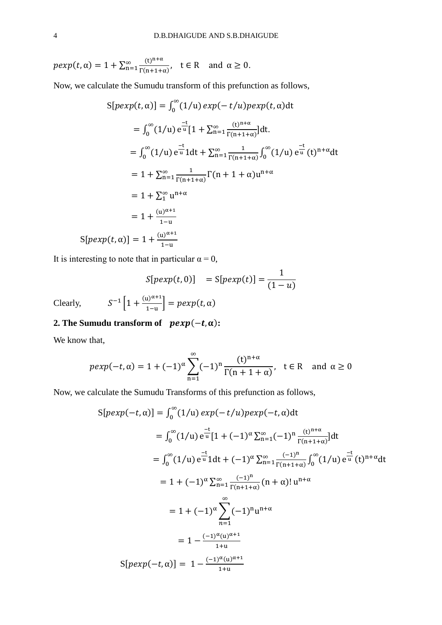$$
p \exp(t, \alpha) = 1 + \sum_{n=1}^{\infty} \frac{(t)^{n+\alpha}}{\Gamma(n+1+\alpha)}, \quad t \in \mathbb{R} \text{ and } \alpha \ge 0.
$$

Now, we calculate the Sumudu transform of this prefunction as follows,

$$
S[pexp(t, \alpha)] = \int_0^{\infty} (1/u) exp(-t/u) pexp(t, \alpha) dt
$$
  
\n
$$
= \int_0^{\infty} (1/u) e^{\frac{-t}{u}} [1 + \sum_{n=1}^{\infty} \frac{(t)^{n+\alpha}}{\Gamma(n+1+\alpha)}] dt.
$$
  
\n
$$
= \int_0^{\infty} (1/u) e^{\frac{-t}{u}} 1 dt + \sum_{n=1}^{\infty} \frac{1}{\Gamma(n+1+\alpha)} \int_0^{\infty} (1/u) e^{\frac{-t}{u}} (t)^{n+\alpha} dt
$$
  
\n
$$
= 1 + \sum_{n=1}^{\infty} \frac{1}{\Gamma(n+1+\alpha)} \Gamma(n+1+\alpha) u^{n+\alpha}
$$
  
\n
$$
= 1 + \sum_{n=1}^{\infty} u^{n+\alpha}
$$
  
\n
$$
= 1 + \frac{(u)^{\alpha+1}}{1-u}
$$
  
\n
$$
S[pexp(t, \alpha)] = 1 + \frac{(u)^{\alpha+1}}{1-u}
$$

It is interesting to note that in particular  $\alpha = 0$ ,

$$
S[pexp(t, 0)] = S[pexp(t)] = \frac{1}{(1-u)}
$$

Clearly,  $S^{-1} \left[ 1 + \frac{(u)^{\alpha+1}}{1-u} \right] = p \exp(t, \alpha)$ 

### **2. The Sumudu transform of**  $p exp(-t, \alpha)$ :

We know that,

$$
p \exp(-t, \alpha) = 1 + (-1)^{\alpha} \sum_{n=1}^{\infty} (-1)^n \frac{(t)^{n+\alpha}}{\Gamma(n+1+\alpha)}, \quad t \in \mathbb{R} \quad \text{and } \alpha \ge 0
$$

Now, we calculate the Sumudu Transforms of this prefunction as follows,

$$
S[pexp(-t, \alpha)] = \int_0^{\infty} (1/u) \exp(-t/u) p \exp(-t, \alpha) dt
$$
  
\n
$$
= \int_0^{\infty} (1/u) e^{\frac{-t}{u}} [1 + (-1)^{\alpha} \sum_{n=1}^{\infty} (-1)^n \frac{(t)^{n+\alpha}}{\Gamma(n+1+\alpha)}] dt
$$
  
\n
$$
= \int_0^{\infty} (1/u) e^{\frac{-t}{u}} 1 dt + (-1)^{\alpha} \sum_{n=1}^{\infty} \frac{(-1)^n}{\Gamma(n+1+\alpha)} \int_0^{\infty} (1/u) e^{\frac{-t}{u}} (t)^{n+\alpha} dt
$$
  
\n
$$
= 1 + (-1)^{\alpha} \sum_{n=1}^{\infty} (-1)^n u^{n+\alpha}
$$
  
\n
$$
= 1 + (-1)^{\alpha} \sum_{n=1}^{\infty} (-1)^n u^{n+\alpha}
$$
  
\n
$$
= 1 - \frac{(-1)^{\alpha} (u)^{\alpha+1}}{1+u}
$$
  
\n
$$
S[pexp(-t, \alpha)] = 1 - \frac{(-1)^{\alpha} (u)^{\alpha+1}}{1+u}
$$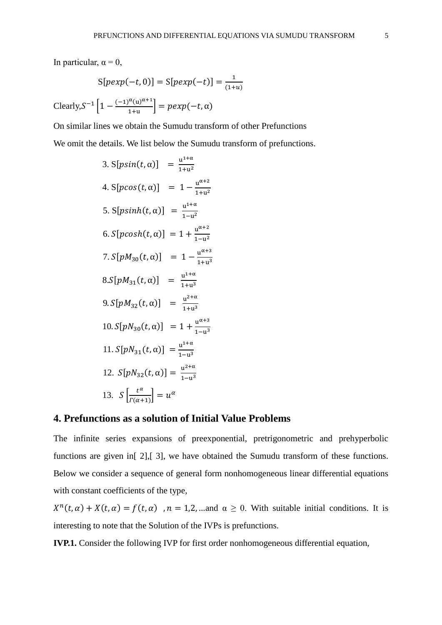In particular,  $\alpha = 0$ ,

$$
S[p \exp(-t, 0)] = S[p \exp(-t)] = \frac{1}{(1+u)}
$$
  
Clearly,  $S^{-1} \left[ 1 - \frac{(-1)^{\alpha}(u)^{\alpha+1}}{1+u} \right] = p \exp(-t, \alpha)$ 

On similar lines we obtain the Sumudu transform of other Prefunctions We omit the details. We list below the Sumudu transform of prefunctions.

3. 
$$
S[psin(t, \alpha)]
$$
 =  $\frac{u^{1+\alpha}}{1+u^2}$   
\n4.  $S[pcos(t, \alpha)]$  =  $1 - \frac{u^{\alpha+2}}{1+u^2}$   
\n5.  $S[psinh(t, \alpha)]$  =  $\frac{u^{1+\alpha}}{1-u^2}$   
\n6.  $S[pcosh(t, \alpha)]$  =  $1 + \frac{u^{\alpha+2}}{1-u^2}$   
\n7.  $S[pM_{30}(t, \alpha)]$  =  $1 - \frac{u^{\alpha+3}}{1+u^3}$   
\n8.  $S[pM_{31}(t, \alpha)]$  =  $\frac{u^{1+\alpha}}{1+u^3}$   
\n9.  $S[pM_{32}(t, \alpha)]$  =  $\frac{u^{2+\alpha}}{1+u^3}$   
\n10.  $S[pN_{30}(t, \alpha)]$  =  $1 + \frac{u^{\alpha+3}}{1-u^3}$   
\n11.  $S[pN_{31}(t, \alpha)]$  =  $\frac{u^{1+\alpha}}{1-u^3}$   
\n12.  $S[pN_{32}(t, \alpha)]$  =  $\frac{u^{2+\alpha}}{1-u^3}$   
\n13.  $S\left[\frac{t^{\alpha}}{l^{\alpha+1}}\right]$  =  $u^{\alpha}$ 

#### **4. Prefunctions as a solution of Initial Value Problems**

The infinite series expansions of preexponential, pretrigonometric and prehyperbolic functions are given in[ 2],[ 3], we have obtained the Sumudu transform of these functions. Below we consider a sequence of general form nonhomogeneous linear differential equations with constant coefficients of the type,

 $X^{n}(t, \alpha) + X(t, \alpha) = f(t, \alpha)$ ,  $n = 1, 2, \dots$  and  $\alpha \ge 0$ . With suitable initial conditions. It is interesting to note that the Solution of the IVPs is prefunctions.

**IVP.1.** Consider the following IVP for first order nonhomogeneous differential equation,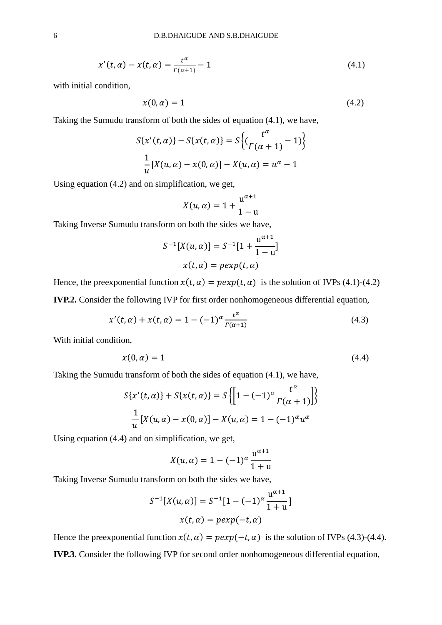$$
x'(t, \alpha) - x(t, \alpha) = \frac{t^{\alpha}}{\Gamma(\alpha + 1)} - 1
$$
\n(4.1)

with initial condition,

$$
x(0, \alpha) = 1 \tag{4.2}
$$

Taking the Sumudu transform of both the sides of equation (4.1), we have,

$$
S\{x'(t, \alpha)\} - S\{x(t, \alpha)\} = S\left\{ \left( \frac{t^{\alpha}}{\Gamma(\alpha + 1)} - 1 \right) \right\}
$$

$$
\frac{1}{u} [X(u, \alpha) - x(0, \alpha)] - X(u, \alpha) = u^{\alpha} - 1
$$

Using equation (4.2) and on simplification, we get,

$$
X(u, \alpha) = 1 + \frac{u^{\alpha+1}}{1-u}
$$

Taking Inverse Sumudu transform on both the sides we have,

$$
S^{-1}[X(u, \alpha)] = S^{-1}[1 + \frac{u^{\alpha+1}}{1-u}]
$$

$$
x(t, \alpha) = p \exp(t, \alpha)
$$

Hence, the preexponential function  $x(t, \alpha) = p \exp(t, \alpha)$  is the solution of IVPs (4.1)-(4.2) **IVP.2.** Consider the following IVP for first order nonhomogeneous differential equation,

$$
x'(t, \alpha) + x(t, \alpha) = 1 - (-1)^{\alpha} \frac{t^{\alpha}}{\Gamma(\alpha + 1)}
$$
(4.3)

With initial condition,

$$
x(0, \alpha) = 1 \tag{4.4}
$$

Taking the Sumudu transform of both the sides of equation (4.1), we have,

$$
S\{x'(t, \alpha)\} + S\{x(t, \alpha)\} = S\{\left[1 - (-1)^{\alpha} \frac{t^{\alpha}}{\Gamma(\alpha + 1)}\right]\}
$$

$$
\frac{1}{u}[X(u, \alpha) - x(0, \alpha)] - X(u, \alpha) = 1 - (-1)^{\alpha}u^{\alpha}
$$

Using equation (4.4) and on simplification, we get,

$$
X(u,\alpha) = 1 - (-1)^{\alpha} \frac{u^{\alpha+1}}{1+u}
$$

Taking Inverse Sumudu transform on both the sides we have,

$$
S^{-1}[X(u, \alpha)] = S^{-1}[1 - (-1)^{\alpha} \frac{u^{\alpha+1}}{1+u}]
$$

$$
x(t, \alpha) = p \exp(-t, \alpha)
$$

Hence the preexponential function  $x(t, \alpha) = p \exp(-t, \alpha)$  is the solution of IVPs (4.3)-(4.4). **IVP.3.** Consider the following IVP for second order nonhomogeneous differential equation,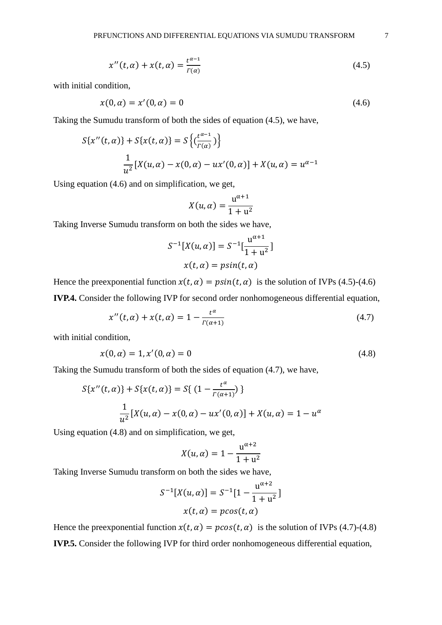$$
x''(t, \alpha) + x(t, \alpha) = \frac{t^{\alpha - 1}}{\Gamma(\alpha)}
$$
\n(4.5)

with initial condition,

$$
x(0, \alpha) = x'(0, \alpha) = 0 \tag{4.6}
$$

Taking the Sumudu transform of both the sides of equation (4.5), we have,

$$
S\{x''(t, \alpha)\} + S\{x(t, \alpha)\} = S\left\{\left(\frac{t^{\alpha - 1}}{\Gamma(\alpha)}\right)\right\}
$$

$$
\frac{1}{u^2} [X(u, \alpha) - x(0, \alpha) - ux'(0, \alpha)] + X(u, \alpha) = u^{\alpha - 1}
$$

Using equation (4.6) and on simplification, we get,

$$
X(u,\alpha) = \frac{u^{\alpha+1}}{1+u^2}
$$

Taking Inverse Sumudu transform on both the sides we have,

$$
S^{-1}[X(u, \alpha)] = S^{-1}[\frac{u^{\alpha+1}}{1+u^2}]
$$
  

$$
x(t, \alpha) = p\sin(t, \alpha)
$$

Hence the preexponential function  $x(t, \alpha) = p \sin(t, \alpha)$  is the solution of IVPs (4.5)-(4.6) **IVP.4.** Consider the following IVP for second order nonhomogeneous differential equation,

$$
x''(t, \alpha) + x(t, \alpha) = 1 - \frac{t^{\alpha}}{\Gamma(\alpha + 1)}
$$
\n(4.7)

with initial condition,

$$
x(0, \alpha) = 1, x'(0, \alpha) = 0 \tag{4.8}
$$

Taking the Sumudu transform of both the sides of equation (4.7), we have,

$$
S\{x''(t, \alpha)\} + S\{x(t, \alpha)\} = S\{ (1 - \frac{t^{\alpha}}{\Gamma(\alpha + 1)}) \}
$$

$$
\frac{1}{u^{2}} [X(u, \alpha) - x(0, \alpha) - ux'(0, \alpha)] + X(u, \alpha) = 1 - u^{\alpha}
$$

Using equation (4.8) and on simplification, we get,

$$
X(u,\alpha) = 1 - \frac{u^{\alpha+2}}{1+u^2}
$$

Taking Inverse Sumudu transform on both the sides we have,

$$
S^{-1}[X(u, \alpha)] = S^{-1}[1 - \frac{u^{\alpha+2}}{1 + u^2}]
$$

$$
x(t, \alpha) = p\cos(t, \alpha)
$$

Hence the preexponential function  $x(t, \alpha) = p\cos(t, \alpha)$  is the solution of IVPs (4.7)-(4.8)

**IVP.5.** Consider the following IVP for third order nonhomogeneous differential equation,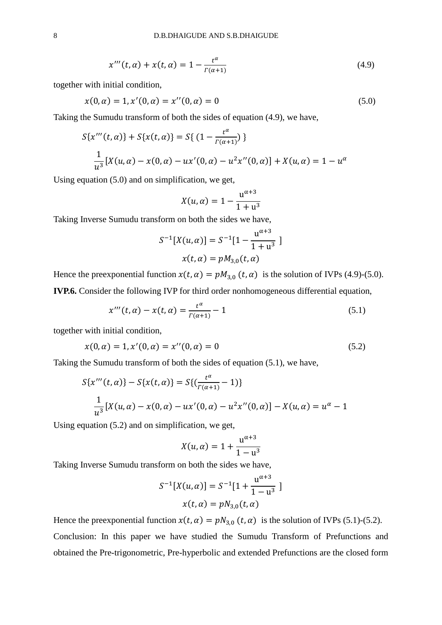$$
x'''(t, \alpha) + x(t, \alpha) = 1 - \frac{t^{\alpha}}{\Gamma(\alpha + 1)}
$$
(4.9)

together with initial condition,

$$
x(0, \alpha) = 1, x'(0, \alpha) = x''(0, \alpha) = 0
$$
\n(5.0)

Taking the Sumudu transform of both the sides of equation (4.9), we have,

$$
S\{x'''(t, \alpha)\} + S\{x(t, \alpha)\} = S\{ (1 - \frac{t^{\alpha}}{\Gamma(\alpha + 1)}) \}
$$
  

$$
\frac{1}{u^3} [X(u, \alpha) - x(0, \alpha) - ux'(0, \alpha) - u^2 x''(0, \alpha)] + X(u, \alpha) = 1 - u^{\alpha}
$$

Using equation (5.0) and on simplification, we get,

$$
X(u, \alpha) = 1 - \frac{u^{\alpha+3}}{1 + u^3}
$$

Taking Inverse Sumudu transform on both the sides we have,

$$
S^{-1}[X(u, \alpha)] = S^{-1}[1 - \frac{u^{\alpha+3}}{1 + u^3}]
$$

$$
x(t, \alpha) = pM_{3,0}(t, \alpha)
$$

Hence the preexponential function  $x(t, \alpha) = pM_{3,0} (t, \alpha)$  is the solution of IVPs (4.9)-(5.0). **IVP.6.** Consider the following IVP for third order nonhomogeneous differential equation,

$$
x'''(t, \alpha) - x(t, \alpha) = \frac{t^{\alpha}}{\Gamma(\alpha + 1)} - 1
$$
\n(5.1)

together with initial condition,

$$
x(0, \alpha) = 1, x'(0, \alpha) = x''(0, \alpha) = 0
$$
\n(5.2)

Taking the Sumudu transform of both the sides of equation (5.1), we have,

$$
S\{x'''(t,\alpha)\} - S\{x(t,\alpha)\} = S\{(\frac{t^{\alpha}}{\Gamma(\alpha+1)} - 1)\}
$$
  

$$
\frac{1}{u^3}[X(u,\alpha) - x(0,\alpha) - ux'(0,\alpha) - u^2x''(0,\alpha)] - X(u,\alpha) = u^{\alpha} - 1
$$

Using equation (5.2) and on simplification, we get,

$$
X(u, \alpha) = 1 + \frac{u^{\alpha+3}}{1 - u^3}
$$

Taking Inverse Sumudu transform on both the sides we have,

$$
S^{-1}[X(u, \alpha)] = S^{-1}[1 + \frac{u^{\alpha+3}}{1 - u^3}]
$$

$$
x(t, \alpha) = pN_{3,0}(t, \alpha)
$$

Hence the preexponential function  $x(t, \alpha) = pN_{3,0} (t, \alpha)$  is the solution of IVPs (5.1)-(5.2). Conclusion: In this paper we have studied the Sumudu Transform of Prefunctions and obtained the Pre-trigonometric, Pre-hyperbolic and extended Prefunctions are the closed form